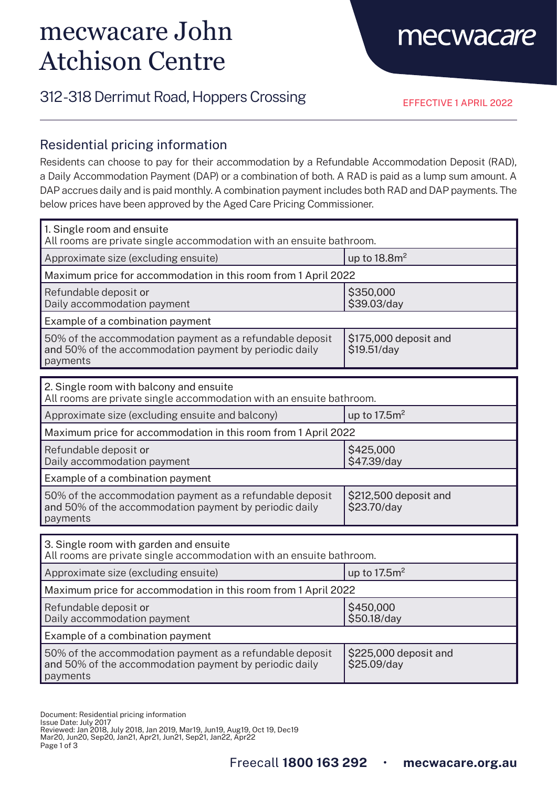# mecwacare John Atchison Centre

## mecwacare

### 312 - 318 Derrimut Road, Hoppers Crossing

EFFECTIVE 1 APRIL 2022

#### Residential pricing information

Residents can choose to pay for their accommodation by a Refundable Accommodation Deposit (RAD), a Daily Accommodation Payment (DAP) or a combination of both. A RAD is paid as a lump sum amount. A DAP accrues daily and is paid monthly. A combination payment includes both RAD and DAP payments. The below prices have been approved by the Aged Care Pricing Commissioner.

| 1. Single room and ensuite<br>All rooms are private single accommodation with an ensuite bathroom.                             |                                      |  |
|--------------------------------------------------------------------------------------------------------------------------------|--------------------------------------|--|
| Approximate size (excluding ensuite)                                                                                           | up to $18.8m2$                       |  |
| Maximum price for accommodation in this room from 1 April 2022                                                                 |                                      |  |
| Refundable deposit or<br>Daily accommodation payment                                                                           | \$350,000<br>\$39.03/day             |  |
| Example of a combination payment                                                                                               |                                      |  |
| 50% of the accommodation payment as a refundable deposit<br>and 50% of the accommodation payment by periodic daily<br>payments | \$175,000 deposit and<br>\$19.51/day |  |
|                                                                                                                                |                                      |  |
| 2. Single room with balcony and ensuite<br>All rooms are private single accommodation with an ensuite bathroom.                |                                      |  |
| Approximate size (excluding ensuite and balcony)                                                                               | up to $17.5m2$                       |  |
| Maximum price for accommodation in this room from 1 April 2022                                                                 |                                      |  |
| Refundable deposit or<br>Daily accommodation payment                                                                           | \$425,000<br>\$47.39/day             |  |
| Example of a combination payment                                                                                               |                                      |  |
| 50% of the accommodation payment as a refundable deposit<br>and 50% of the accommodation payment by periodic daily<br>payments | \$212,500 deposit and<br>\$23.70/day |  |
|                                                                                                                                |                                      |  |
| 3. Single room with garden and ensuite<br>All rooms are private single accommodation with an ensuite bathroom.                 |                                      |  |
| Approximate size (excluding ensuite)                                                                                           | up to $17.5m2$                       |  |
| Maximum price for accommodation in this room from 1 April 2022                                                                 |                                      |  |
| Refundable deposit or<br>Daily accommodation payment                                                                           | \$450,000<br>\$50.18/day             |  |
| Example of a combination payment                                                                                               |                                      |  |
| 50% of the accommodation payment as a refundable deposit<br>and 50% of the accommodation payment by periodic daily<br>payments | \$225,000 deposit and<br>\$25.09/day |  |

Document: Residential pricing information Issue Date: July 2017 Reviewed: Jan 2018, July 2018, Jan 2019, Mar19, Jun19, Aug19, Oct 19, Dec19

Mar20, Jun20, Sep20, Jan21, Apr21, Jun21, Sep21, Jan22, Apr22

Page 1 of 3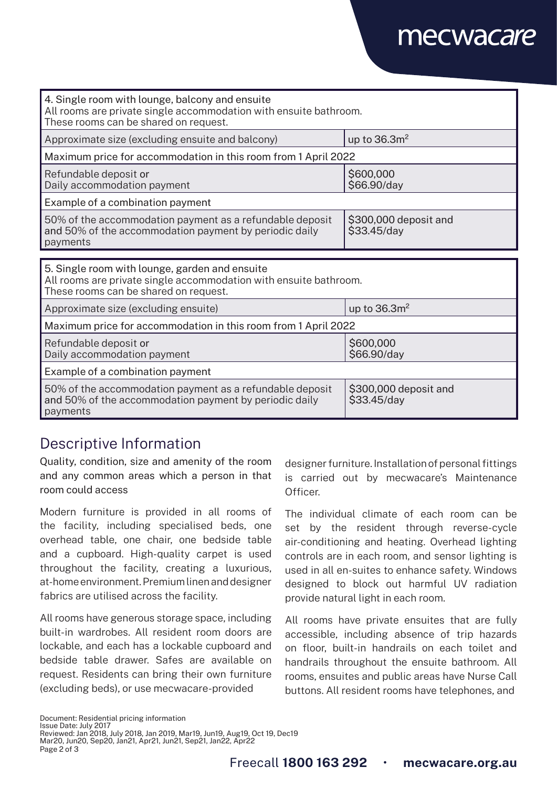## mecwacare

| 4. Single room with lounge, balcony and ensuite<br>All rooms are private single accommodation with ensuite bathroom.<br>These rooms can be shared on request. |                                      |  |
|---------------------------------------------------------------------------------------------------------------------------------------------------------------|--------------------------------------|--|
| Approximate size (excluding ensuite and balcony)                                                                                                              | up to $36.3m2$                       |  |
| Maximum price for accommodation in this room from 1 April 2022                                                                                                |                                      |  |
| Refundable deposit or<br>Daily accommodation payment                                                                                                          | \$600,000<br>\$66.90/day             |  |
| Example of a combination payment                                                                                                                              |                                      |  |
| 50% of the accommodation payment as a refundable deposit<br>and 50% of the accommodation payment by periodic daily<br>payments                                | \$300,000 deposit and<br>\$33.45/day |  |
|                                                                                                                                                               |                                      |  |
| 5. Single room with lounge, garden and ensuite<br>All rooms are private single accommodation with ensuite bathroom.<br>These rooms can be shared on request.  |                                      |  |
| Approximate size (excluding ensuite)                                                                                                                          | up to $36.3m2$                       |  |
| Maximum price for accommodation in this room from 1 April 2022                                                                                                |                                      |  |
| Refundable deposit or<br>Daily accommodation payment                                                                                                          | \$600,000<br>\$66.90/day             |  |
| Example of a combination payment                                                                                                                              |                                      |  |
| 50% of the accommodation payment as a refundable deposit<br>and 50% of the accommodation payment by periodic daily<br>payments                                | \$300,000 deposit and<br>\$33.45/day |  |

### Descriptive Information

Quality, condition, size and amenity of the room and any common areas which a person in that room could access

Modern furniture is provided in all rooms of the facility, including specialised beds, one overhead table, one chair, one bedside table and a cupboard. High-quality carpet is used throughout the facility, creating a luxurious, at-home environment. Premium linen and designer fabrics are utilised across the facility.

All rooms have generous storage space, including built-in wardrobes. All resident room doors are lockable, and each has a lockable cupboard and bedside table drawer. Safes are available on request. Residents can bring their own furniture (excluding beds), or use mecwacare-provided

designer furniture. Installation of personal fittings is carried out by mecwacare's Maintenance Officer.

The individual climate of each room can be set by the resident through reverse-cycle air-conditioning and heating. Overhead lighting controls are in each room, and sensor lighting is used in all en-suites to enhance safety. Windows designed to block out harmful UV radiation provide natural light in each room.

All rooms have private ensuites that are fully accessible, including absence of trip hazards on floor, built-in handrails on each toilet and handrails throughout the ensuite bathroom. All rooms, ensuites and public areas have Nurse Call buttons. All resident rooms have telephones, and